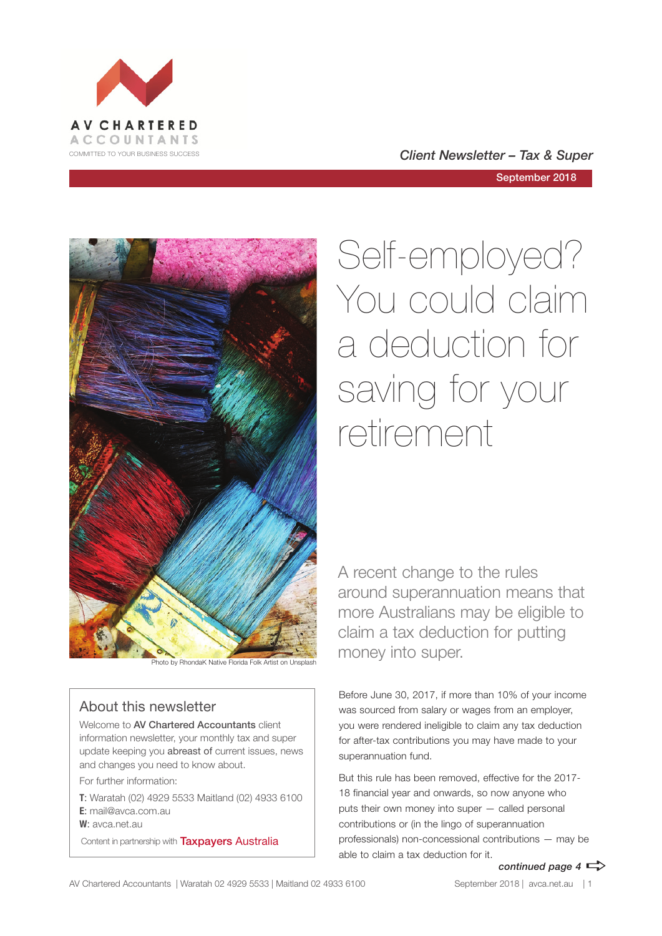



Photo by RhondaK Native Florida Folk Artist on Unsplash

### About this newsletter

Welcome to AV Chartered Accountants client information newsletter, your monthly tax and super update keeping you abreast of current issues, news and changes you need to know about.

For further information:

**T**: Waratah (02) 4929 5533 Maitland (02) 4933 6100 **E**: mail@avca.com.au

**W**: avca.net.au

Content in partnership with **Taxpayers Australia** 

Self-employed? You could claim a deduction for saving for your retirement

A recent change to the rules around superannuation means that more Australians may be eligible to claim a tax deduction for putting money into super.

Before June 30, 2017, if more than 10% of your income was sourced from salary or wages from an employer, you were rendered ineligible to claim any tax deduction for after-tax contributions you may have made to your superannuation fund.

But this rule has been removed, effective for the 2017- 18 financial year and onwards, so now anyone who puts their own money into super — called personal contributions or (in the lingo of superannuation professionals) non-concessional contributions — may be able to claim a tax deduction for it.

*continued page 4*  $\Rightarrow$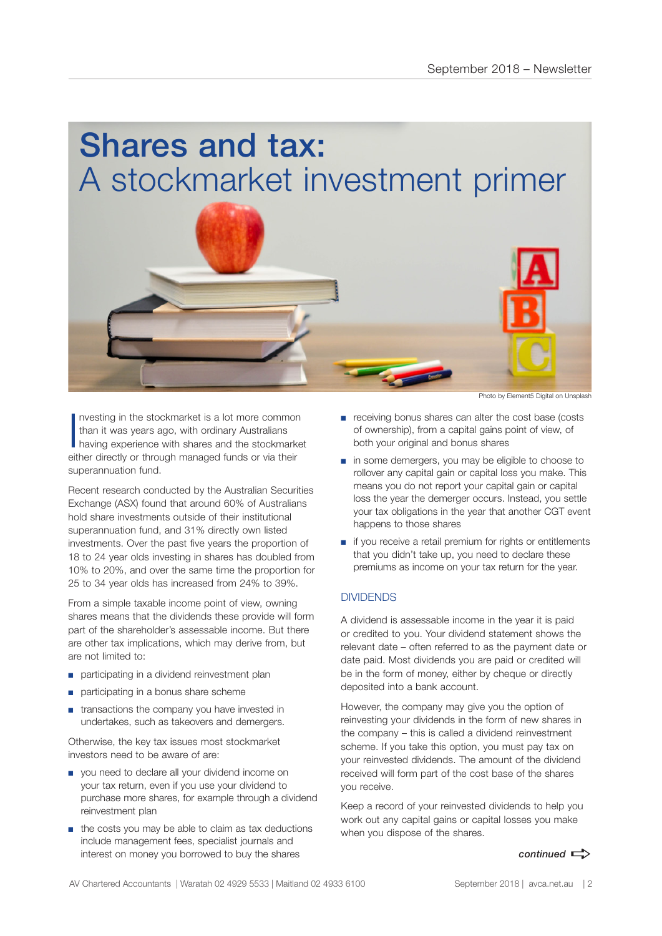# Shares and tax: A stockmarket investment primer



I nvesting in the stockmarket is a lot more common than it was years ago, with ordinary Australians having experience with shares and the stockmarket either directly or through managed funds or via their superannuation fund.

Recent research conducted by the Australian Securities Exchange (ASX) found that around 60% of Australians hold share investments outside of their institutional superannuation fund, and 31% directly own listed investments. Over the past five years the proportion of 18 to 24 year olds investing in shares has doubled from 10% to 20%, and over the same time the proportion for 25 to 34 year olds has increased from 24% to 39%.

From a simple taxable income point of view, owning shares means that the dividends these provide will form part of the shareholder's assessable income. But there are other tax implications, which may derive from, but are not limited to:

- participating in a dividend reinvestment plan
- participating in a bonus share scheme
- transactions the company you have invested in undertakes, such as takeovers and demergers.

Otherwise, the key tax issues most stockmarket investors need to be aware of are:

- you need to declare all your dividend income on your tax return, even if you use your dividend to purchase more shares, for example through a dividend reinvestment plan
- the costs you may be able to claim as tax deductions include management fees, specialist journals and interest on money you borrowed to buy the shares

Photo by Element5 Digital on Unsplash

- receiving bonus shares can alter the cost base (costs of ownership), from a capital gains point of view, of both your original and bonus shares
- in some demergers, you may be eligible to choose to rollover any capital gain or capital loss you make. This means you do not report your capital gain or capital loss the year the demerger occurs. Instead, you settle your tax obligations in the year that another CGT event happens to those shares
- if you receive a retail premium for rights or entitlements that you didn't take up, you need to declare these premiums as income on your tax return for the year.

#### **DIVIDENDS**

A dividend is assessable income in the year it is paid or credited to you. Your dividend statement shows the relevant date – often referred to as the payment date or date paid. Most dividends you are paid or credited will be in the form of money, either by cheque or directly deposited into a bank account.

However, the company may give you the option of reinvesting your dividends in the form of new shares in the company – this is called a dividend reinvestment scheme. If you take this option, you must pay tax on your reinvested dividends. The amount of the dividend received will form part of the cost base of the shares you receive.

Keep a record of your reinvested dividends to help you work out any capital gains or capital losses you make when you dispose of the shares.

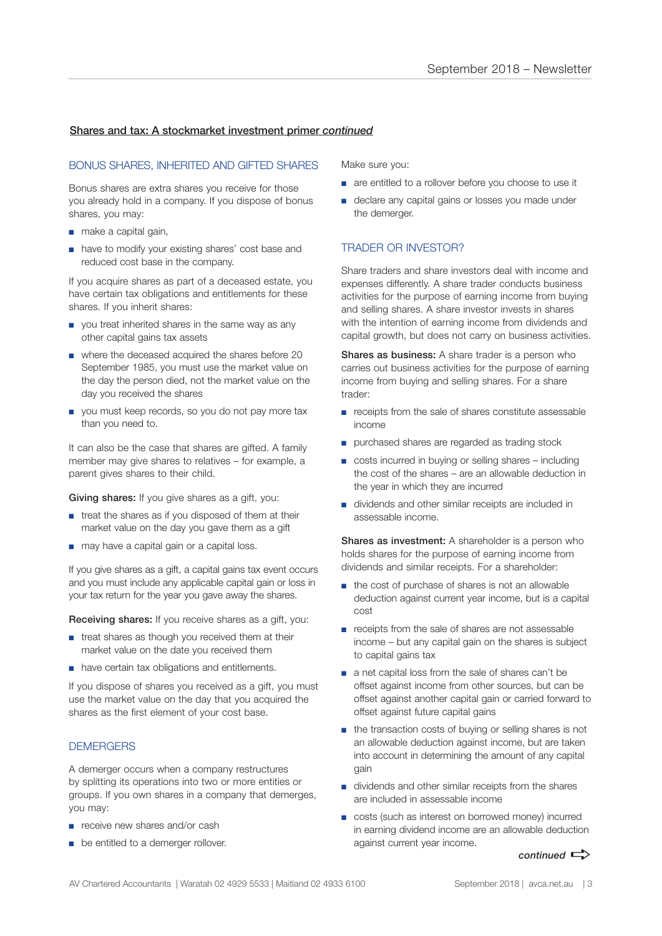#### Shares and tax: A stockmarket investment primer *continued*

#### BONUS SHARES, INHERITED AND GIFTED SHARES

Bonus shares are extra shares you receive for those you already hold in a company. If you dispose of bonus shares, you may:

- make a capital gain,
- have to modify your existing shares' cost base and reduced cost base in the company.

If you acquire shares as part of a deceased estate, you have certain tax obligations and entitlements for these shares. If you inherit shares:

- you treat inherited shares in the same way as any other capital gains tax assets
- where the deceased acquired the shares before 20 September 1985, you must use the market value on the day the person died, not the market value on the day you received the shares
- you must keep records, so you do not pay more tax than you need to.

It can also be the case that shares are gifted. A family member may give shares to relatives – for example, a parent gives shares to their child.

Giving shares: If you give shares as a gift, you:

- treat the shares as if you disposed of them at their market value on the day you gave them as a gift
- may have a capital gain or a capital loss.

If you give shares as a gift, a capital gains tax event occurs and you must include any applicable capital gain or loss in your tax return for the year you gave away the shares.

Receiving shares: If you receive shares as a gift, you:

- treat shares as though you received them at their market value on the date you received them
- have certain tax obligations and entitlements.

If you dispose of shares you received as a gift, you must use the market value on the day that you acquired the shares as the first element of your cost base.

#### **DEMERGERS**

A demerger occurs when a company restructures by splitting its operations into two or more entities or groups. If you own shares in a company that demerges, you may:

- receive new shares and/or cash
- be entitled to a demerger rollover.

Make sure you:

- are entitled to a rollover before you choose to use it
- declare any capital gains or losses you made under the demerger.

#### TRADER OR INVESTOR?

Share traders and share investors deal with income and expenses differently. A share trader conducts business activities for the purpose of earning income from buying and selling shares. A share investor invests in shares with the intention of earning income from dividends and capital growth, but does not carry on business activities.

Shares as business: A share trader is a person who carries out business activities for the purpose of earning income from buying and selling shares. For a share trader:

- receipts from the sale of shares constitute assessable income
- purchased shares are regarded as trading stock
- costs incurred in buying or selling shares including the cost of the shares – are an allowable deduction in the year in which they are incurred
- dividends and other similar receipts are included in assessable income.

Shares as investment: A shareholder is a person who holds shares for the purpose of earning income from dividends and similar receipts. For a shareholder:

- the cost of purchase of shares is not an allowable deduction against current year income, but is a capital cost
- receipts from the sale of shares are not assessable income – but any capital gain on the shares is subject to capital gains tax
- a net capital loss from the sale of shares can't be offset against income from other sources, but can be offset against another capital gain or carried forward to offset against future capital gains
- the transaction costs of buying or selling shares is not an allowable deduction against income, but are taken into account in determining the amount of any capital gain
- dividends and other similar receipts from the shares are included in assessable income
- costs (such as interest on borrowed money) incurred in earning dividend income are an allowable deduction against current year income.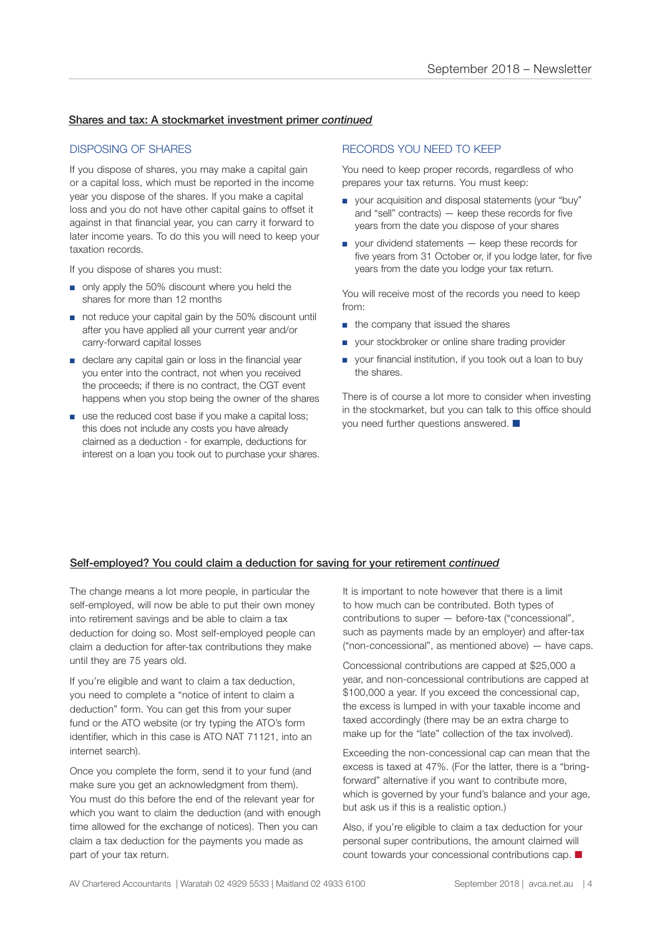#### Shares and tax: A stockmarket investment primer *continued*

#### DISPOSING OF SHARES

If you dispose of shares, you may make a capital gain or a capital loss, which must be reported in the income year you dispose of the shares. If you make a capital loss and you do not have other capital gains to offset it against in that financial year, you can carry it forward to later income years. To do this you will need to keep your taxation records.

If you dispose of shares you must:

- only apply the 50% discount where you held the shares for more than 12 months
- not reduce your capital gain by the 50% discount until after you have applied all your current year and/or carry-forward capital losses
- declare any capital gain or loss in the financial year you enter into the contract, not when you received the proceeds; if there is no contract, the CGT event happens when you stop being the owner of the shares
- use the reduced cost base if you make a capital loss; this does not include any costs you have already claimed as a deduction - for example, deductions for interest on a loan you took out to purchase your shares.

#### RECORDS YOU NEED TO KEEP

You need to keep proper records, regardless of who prepares your tax returns. You must keep:

- your acquisition and disposal statements (your "buy" and "sell" contracts) — keep these records for five years from the date you dispose of your shares
- your dividend statements keep these records for five years from 31 October or, if you lodge later, for five years from the date you lodge your tax return.

You will receive most of the records you need to keep from:

- the company that issued the shares
- your stockbroker or online share trading provider
- your financial institution, if you took out a loan to buy the shares.

There is of course a lot more to consider when investing in the stockmarket, but you can talk to this office should you need further questions answered.  $\blacksquare$ 

#### Self-employed? You could claim a deduction for saving for your retirement *continued*

The change means a lot more people, in particular the self-employed, will now be able to put their own money into retirement savings and be able to claim a tax deduction for doing so. Most self-employed people can claim a deduction for after-tax contributions they make until they are 75 years old.

If you're eligible and want to claim a tax deduction, you need to complete a "notice of intent to claim a deduction" form. You can get this from your super fund or the ATO website (or try typing the ATO's form identifier, which in this case is ATO NAT 71121, into an internet search).

Once you complete the form, send it to your fund (and make sure you get an acknowledgment from them). You must do this before the end of the relevant year for which you want to claim the deduction (and with enough time allowed for the exchange of notices). Then you can claim a tax deduction for the payments you made as part of your tax return.

It is important to note however that there is a limit to how much can be contributed. Both types of contributions to super — before-tax ("concessional", such as payments made by an employer) and after-tax ("non-concessional", as mentioned above) — have caps.

Concessional contributions are capped at \$25,000 a year, and non-concessional contributions are capped at \$100,000 a year. If you exceed the concessional cap, the excess is lumped in with your taxable income and taxed accordingly (there may be an extra charge to make up for the "late" collection of the tax involved).

Exceeding the non-concessional cap can mean that the excess is taxed at 47%. (For the latter, there is a "bringforward" alternative if you want to contribute more, which is governed by your fund's balance and your age, but ask us if this is a realistic option.)

Also, if you're eligible to claim a tax deduction for your personal super contributions, the amount claimed will count towards your concessional contributions cap.  $\blacksquare$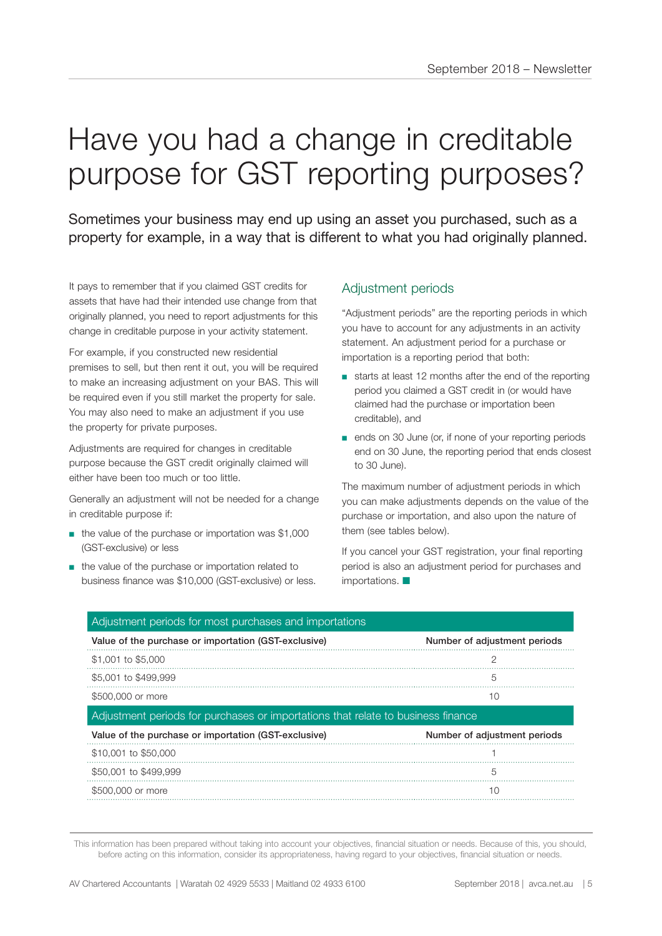# Have you had a change in creditable purpose for GST reporting purposes?

Sometimes your business may end up using an asset you purchased, such as a property for example, in a way that is different to what you had originally planned.

It pays to remember that if you claimed GST credits for assets that have had their intended use change from that originally planned, you need to report adjustments for this change in creditable purpose in your activity statement.

For example, if you constructed new residential premises to sell, but then rent it out, you will be required to make an increasing adjustment on your BAS. This will be required even if you still market the property for sale. You may also need to make an adjustment if you use the property for private purposes.

Adjustments are required for changes in creditable purpose because the GST credit originally claimed will either have been too much or too little.

Generally an adjustment will not be needed for a change in creditable purpose if:

- the value of the purchase or importation was \$1,000 (GST-exclusive) or less
- the value of the purchase or importation related to business finance was \$10,000 (GST-exclusive) or less.

### Adjustment periods

"Adjustment periods" are the reporting periods in which you have to account for any adjustments in an activity statement. An adjustment period for a purchase or importation is a reporting period that both:

- starts at least 12 months after the end of the reporting period you claimed a GST credit in (or would have claimed had the purchase or importation been creditable), and
- ends on 30 June (or, if none of your reporting periods end on 30 June, the reporting period that ends closest to 30 June).

The maximum number of adjustment periods in which you can make adjustments depends on the value of the purchase or importation, and also upon the nature of them (see tables below).

If you cancel your GST registration, your final reporting period is also an adjustment period for purchases and  $importations.$ 

| Adjustment periods for most purchases and importations                           |                              |
|----------------------------------------------------------------------------------|------------------------------|
| Value of the purchase or importation (GST-exclusive)                             | Number of adjustment periods |
| \$1,001 to \$5,000                                                               |                              |
| \$5,001 to \$499,999                                                             | 5                            |
| \$500,000 or more                                                                | 10                           |
| Adjustment periods for purchases or importations that relate to business finance |                              |
|                                                                                  |                              |
| Value of the purchase or importation (GST-exclusive)                             | Number of adjustment periods |
| \$10,001 to \$50,000                                                             |                              |
| \$50,001 to \$499,999                                                            | 5                            |
| \$500,000 or more                                                                | 10                           |

This information has been prepared without taking into account your objectives, financial situation or needs. Because of this, you should, before acting on this information, consider its appropriateness, having regard to your objectives, financial situation or needs.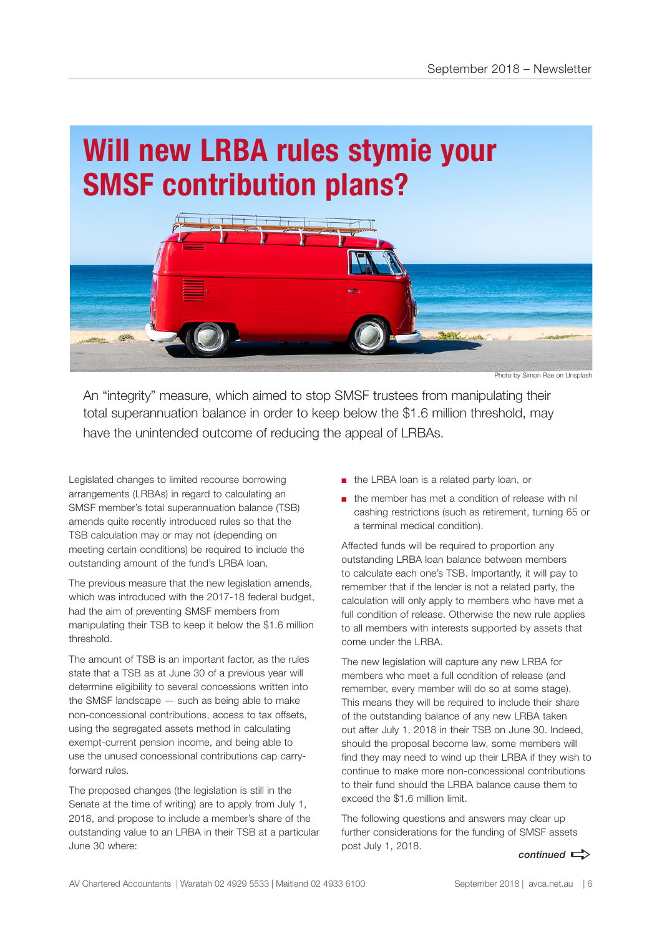## **Will new LRBA rules stymie your SMSF contribution plans?**



Photo by Simon Rae on Unsplash

An "integrity" measure, which aimed to stop SMSF trustees from manipulating their total superannuation balance in order to keep below the \$1.6 million threshold, may have the unintended outcome of reducing the appeal of LRBAs.

Legislated changes to limited recourse borrowing arrangements (LRBAs) in regard to calculating an SMSF member's total superannuation balance (TSB) amends quite recently introduced rules so that the TSB calculation may or may not (depending on meeting certain conditions) be required to include the outstanding amount of the fund's LRBA loan.

The previous measure that the new legislation amends, which was introduced with the 2017-18 federal budget, had the aim of preventing SMSF members from manipulating their TSB to keep it below the \$1.6 million threshold.

The amount of TSB is an important factor, as the rules state that a TSB as at June 30 of a previous year will determine eligibility to several concessions written into the SMSF landscape — such as being able to make non-concessional contributions, access to tax offsets, using the segregated assets method in calculating exempt-current pension income, and being able to use the unused concessional contributions cap carryforward rules.

The proposed changes (the legislation is still in the Senate at the time of writing) are to apply from July 1, 2018, and propose to include a member's share of the outstanding value to an LRBA in their TSB at a particular June 30 where:

- the LRBA loan is a related party loan, or
- the member has met a condition of release with nil cashing restrictions (such as retirement, turning 65 or a terminal medical condition).

Affected funds will be required to proportion any outstanding LRBA loan balance between members to calculate each one's TSB. Importantly, it will pay to remember that if the lender is not a related party, the calculation will only apply to members who have met a full condition of release. Otherwise the new rule applies to all members with interests supported by assets that come under the LRBA.

The new legislation will capture any new LRBA for members who meet a full condition of release (and remember, every member will do so at some stage). This means they will be required to include their share of the outstanding balance of any new LRBA taken out after July 1, 2018 in their TSB on June 30. Indeed, should the proposal become law, some members will find they may need to wind up their LRBA if they wish to continue to make more non-concessional contributions to their fund should the LRBA balance cause them to exceed the \$1.6 million limit.

The following questions and answers may clear up further considerations for the funding of SMSF assets post July 1, 2018.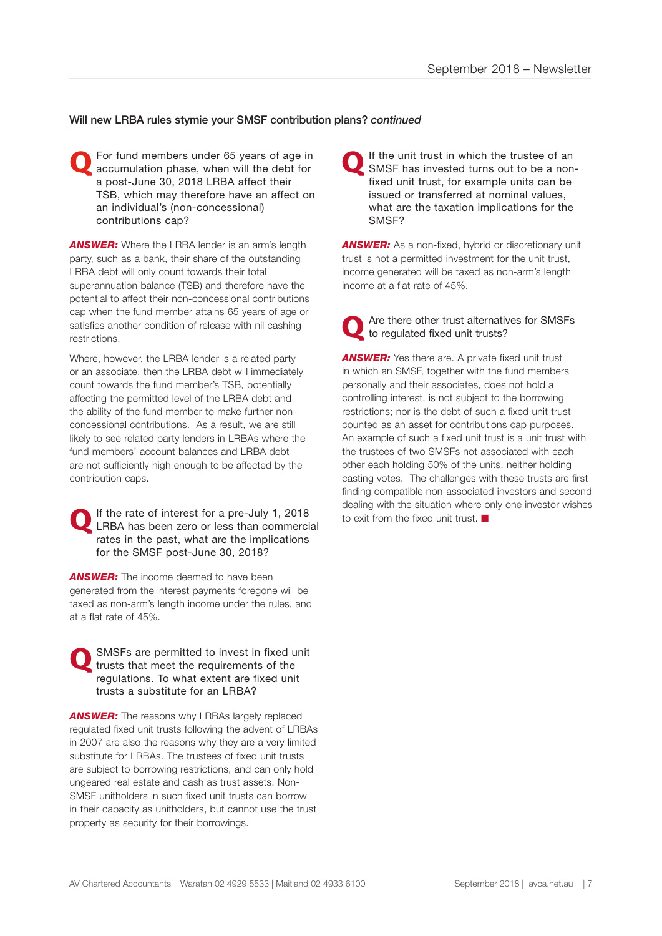#### Will new LRBA rules stymie your SMSF contribution plans? *continued*

For fund members under 65 years of age in accumulation phase, when will the debt for a post-June 30, 2018 LRBA affect their TSB, which may therefore have an affect on an individual's (non-concessional) contributions cap?

**ANSWER:** Where the LRBA lender is an arm's length party, such as a bank, their share of the outstanding LRBA debt will only count towards their total superannuation balance (TSB) and therefore have the potential to affect their non-concessional contributions cap when the fund member attains 65 years of age or satisfies another condition of release with nil cashing restrictions.

Where, however, the LRBA lender is a related party or an associate, then the LRBA debt will immediately count towards the fund member's TSB, potentially affecting the permitted level of the LRBA debt and the ability of the fund member to make further nonconcessional contributions. As a result, we are still likely to see related party lenders in LRBAs where the fund members' account balances and LRBA debt are not sufficiently high enough to be affected by the contribution caps.

**Q** If the rate of interest for a pre-July 1, 2018 LRBA has been zero or less than commercial rates in the past, what are the implications for the SMSF post-June 30, 2018?

**ANSWER:** The income deemed to have been generated from the interest payments foregone will be taxed as non-arm's length income under the rules, and at a flat rate of 45%.

SMSFs are permitted to invest in fixed unit trusts that meet the requirements of the regulations. To what extent are fixed unit trusts a substitute for an LRBA?

**ANSWER:** The reasons why LRBAs largely replaced regulated fixed unit trusts following the advent of LRBAs in 2007 are also the reasons why they are a very limited substitute for LRBAs. The trustees of fixed unit trusts are subject to borrowing restrictions, and can only hold ungeared real estate and cash as trust assets. Non-SMSF unitholders in such fixed unit trusts can borrow in their capacity as unitholders, but cannot use the trust property as security for their borrowings.

**Q** If the unit trust in which the trustee of an SMSF has invested turns out to be a nonfixed unit trust, for example units can be issued or transferred at nominal values, what are the taxation implications for the SMSF?

**ANSWER:** As a non-fixed, hybrid or discretionary unit trust is not a permitted investment for the unit trust, income generated will be taxed as non-arm's length income at a flat rate of 45%.

**Q** Are there other trust alternatives for SMSFs to regulated fixed unit trusts?

**ANSWER:** Yes there are. A private fixed unit trust in which an SMSF, together with the fund members personally and their associates, does not hold a controlling interest, is not subject to the borrowing restrictions; nor is the debt of such a fixed unit trust counted as an asset for contributions cap purposes. An example of such a fixed unit trust is a unit trust with the trustees of two SMSFs not associated with each other each holding 50% of the units, neither holding casting votes. The challenges with these trusts are first finding compatible non-associated investors and second dealing with the situation where only one investor wishes to exit from the fixed unit trust.  $\blacksquare$